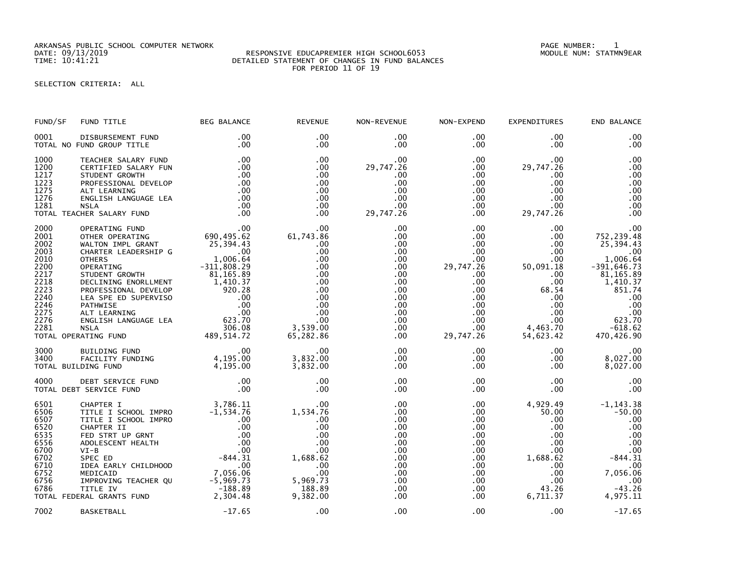ARKANSAS PUBLIC SCHOOL COMPUTER NETWORK PAGE NUMBER: 1

## RESPONSIVE EDUCAPREMIER HIGH SCHOOL6053 TIME: 10:41:21 DETAILED STATEMENT OF CHANGES IN FUND BALANCES FOR PERIOD 11 OF 19

SELECTION CRITERIA: ALL

| FUND/SF                                                                                                      | FUND TITLE                                                                                                                                                                                                                                                                                              | <b>BEG BALANCE</b>                                            | <b>REVENUE</b>                                                                                                                                     | NON-REVENUE                                                                                                                                                   | NON-EXPEND                                                                                                                                                                | <b>EXPENDITURES</b>                                                                                                                                            | END BALANCE                                                                                                                                                      |
|--------------------------------------------------------------------------------------------------------------|---------------------------------------------------------------------------------------------------------------------------------------------------------------------------------------------------------------------------------------------------------------------------------------------------------|---------------------------------------------------------------|----------------------------------------------------------------------------------------------------------------------------------------------------|---------------------------------------------------------------------------------------------------------------------------------------------------------------|---------------------------------------------------------------------------------------------------------------------------------------------------------------------------|----------------------------------------------------------------------------------------------------------------------------------------------------------------|------------------------------------------------------------------------------------------------------------------------------------------------------------------|
| 0001                                                                                                         | DISBURSEMENT FUND<br>TOTAL NO FUND GROUP TITLE                                                                                                                                                                                                                                                          | $.00 \,$<br>.00                                               | $.00 \times$<br>$.00 \times$                                                                                                                       | $.00 \,$<br>$.00 \,$                                                                                                                                          | $.00 \,$<br>$.00 \,$                                                                                                                                                      | $.00 \,$<br>$.00 \,$                                                                                                                                           | .00<br>.00                                                                                                                                                       |
| 1000<br>1200<br>1217<br>1223<br>1275<br>1276<br>1281                                                         | TEACHER SALARY FUND<br>CERTIFIED SALARY FUN<br>STUDENT GROWTH<br>PROFESSIONAL DEVELOP<br>ALT LEARNING<br>ENGLISH LANGUAGE LEA<br><b>NSLA</b><br>TOTAL TEACHER SALARY FUND                                                                                                                               | .00<br>.00<br>.00<br>.00<br>.00<br>.00<br>.00<br>$\sim 0.00$  | $.00 \times$<br>.00<br>.00<br>.00<br>.00<br>.00<br>.00<br>.00                                                                                      | .00<br>29,747.26<br>.00<br>.00<br>.00<br>.00<br>.00<br>29,747.26                                                                                              | $.00 \,$<br>$.00 \,$<br>$.00 \,$<br>.00<br>$.00 \,$<br>$.00 \,$<br>$.00 \,$<br>$.00 \,$                                                                                   | .00.<br>29,747.26<br>.00.<br>.00<br>.00<br>$.00 \,$<br>.00<br>29,747.26                                                                                        | .00<br>.00<br>.00<br>.00<br>.00<br>.00<br>.00<br>.00                                                                                                             |
| 2000<br>2001<br>2002<br>2003<br>2010<br>2200<br>2217<br>2218<br>2223<br>2240<br>2246<br>2275<br>2276<br>2281 | CHER SALARY FUND<br>OPERATING FUND<br>OTHER OPERATING 690,495.62<br>WALTON IMPL GRANT 25,394.43<br>CHARTER LEADERSHIP G<br>OTHERS 1,006.64<br>OPERATING 71,006.64<br>OPERATING 71,1006.84<br>OPERATING 71,1006.84<br>STUDENT GROWTH 81,165.89<br>D<br>TOTAL OPERATING FUND                              |                                                               | $61,743.\widetilde{86}$<br>.00<br>.00<br>.00<br>.00<br>.00<br>.00<br>.00<br>.00<br>.00<br>.00<br>.00<br>3,539.00<br>65,282.86                      | .00<br>.00<br>.00<br>$.00 \,$<br>$.00 \,$<br>.00 <sub>1</sub><br>.00<br>$.00 \,$<br>$.00 \,$<br>$.00 \,$<br>$.00 \,$<br>.00<br>.00 <sub>1</sub><br>.00<br>.00 | $.00 \,$<br>$.00 \,$<br>$.00\,$<br>$.00\,$<br>.00<br>29,747.26<br>$.00\,$<br>$.00 \,$<br>$.00 \,$<br>$.00 \cdot$<br>$.00\,$<br>$.00\,$<br>$.00\,$<br>$.00\,$<br>29,747.26 | $.00 \,$<br>.00<br>.00<br>$.00 \,$<br>$.00 \,$<br>50,091.18<br>$.00 \,$<br>$.00 \,$<br>68.54<br>$.00 \,$<br>.00<br>.00<br>.00<br>$00$<br>4,463.70<br>54,623.42 | .00<br>752,239.48<br>25,394.43<br>.00<br>1,006.64<br>$-391,646.73$<br>81, 165.89<br>1,410.37<br>851.74<br>.00<br>.00<br>.00<br>623.70<br>$-618.62$<br>470,426.90 |
| 3000<br>3400                                                                                                 | BUILDING FUND<br>FACILITY FUNDING<br>TOTAL BUILDING FUND                                                                                                                                                                                                                                                | $\overline{\phantom{0}}$ .00<br>00.<br>4, 195.00<br>4, 195.00 | .00<br>3,832.00<br>3,832.00                                                                                                                        | $.00 \,$<br>$.00 \,$<br>.00                                                                                                                                   | .00 <sub>1</sub><br>$.00 \,$<br>.00                                                                                                                                       | $.00 \,$<br>$.00 \,$<br>$.00 \cdot$                                                                                                                            | .00<br>8,027.00<br>8,027.00                                                                                                                                      |
| 4000                                                                                                         | DEBT SERVICE FUND<br>TOTAL DEBT SERVICE FUND                                                                                                                                                                                                                                                            | $\frac{.00}{.00}$                                             | .00<br>.00                                                                                                                                         | .00<br>$.00 \,$                                                                                                                                               | $.00 \,$<br>$.00 \,$                                                                                                                                                      | $.00 \,$<br>.00                                                                                                                                                | .00<br>.00                                                                                                                                                       |
| 6501<br>6506<br>6507<br>6520<br>6535<br>6556<br>6700<br>6702<br>6710<br>6752                                 | CHAPTER I<br>TITLE I SCHOOL IMPRO<br>TITLE I SCHOOL IMPRO<br>CHAPTER II<br>FED STRT UP GRNT<br>ADOLESCENT HEALTH<br>$VI-B$<br>SPEC ED<br>IDEA EARLY CHILDHOOD<br>MEDICAID<br>0.726 MHLDUCALD<br>6756 IMPROVING TEACHER QUARENT -5,969.73<br>6786 TITLE IV -188.89<br>TOTAL FEDERAL GRANTS FUND 2,304.48 | 7,056.06                                                      | .00<br>1,534.76<br>.00<br>.00<br>.00<br>.00<br>$1,688.62$<br>00<br>00<br>$\begin{array}{c} 00 \\ 00 \end{array}$<br>5,969.73<br>188.89<br>9,382.00 | .00<br>$.00 \,$<br>.00<br>.00<br>.00<br>.00<br>.00<br>.00<br>.00<br>.00<br>.00<br>.00.<br>$.00 \,$                                                            | $.00 \,$<br>$.00 \cdot$<br>$.00\,$<br>.00<br>$.00\,$<br>.00<br>$.00\,$<br>$.00 \,$<br>$.00 \,$<br>.00 <sub>1</sub><br>$.00\,$<br>$.00\,$<br>.00                           | 4,929.49<br>50.00<br>.00<br>.00<br>$.00 \,$<br>$.00 \,$<br>$.00 \,$<br>1,688.62<br>$.00\,$<br>$.00 \,$<br>$.00 \,$<br>43.26<br>6,711.37                        | $-1, 143.38$<br>$-50.00$<br>.00<br>.00<br>.00<br>.00<br>$-844.31$<br>.00<br>7,056.06<br>$\overline{\phantom{0}}$ .00<br>$-43.26$<br>4,975.11                     |
| 7002                                                                                                         | <b>BASKETBALL</b>                                                                                                                                                                                                                                                                                       | $-17.65$                                                      | .00                                                                                                                                                | .00                                                                                                                                                           | .00                                                                                                                                                                       | .00                                                                                                                                                            | $-17.65$                                                                                                                                                         |